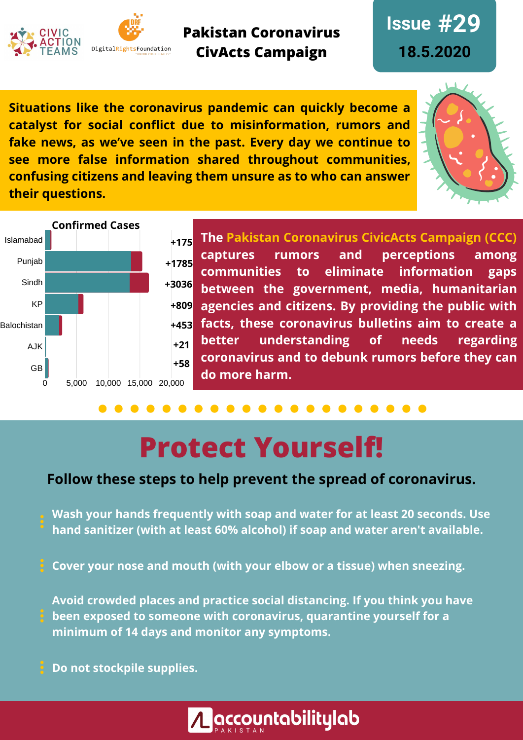



**Pakistan Coronavirus CivActs Campaign**

**Issue #29 18.5.2020**

**Situations like the coronavirus pandemic can quickly become a catalyst for social conflict due to misinformation, rumors and fake news, as we've seen in the past. Every day we continue to see more false information shared throughout communities, confusing citizens and leaving them unsure as to who can answer their questions.**





**The Pakistan Coronavirus CivicActs Campaign (CCC) captures rumors and perceptions among communities to eliminate information gaps between the government, media, humanitarian agencies and citizens. By providing the public with facts, these coronavirus bulletins aim to create a better understanding of needs regarding coronavirus and to debunk rumors before they can do more harm.**

# **Protect Yourself!**

### **Follow these steps to help prevent the spread of coronavirus.**

**Wash your hands frequently with soap and water for at least 20 seconds. Use hand sanitizer (with at least 60% alcohol) if soap and water aren't available.**

**Cover your nose and mouth (with your elbow or a tissue) when sneezing.**

**Avoid crowded places and practice social distancing. If you think you have been exposed to someone with coronavirus, quarantine yourself for a minimum of 14 days and monitor any symptoms.**

**Do not stockpile supplies.**

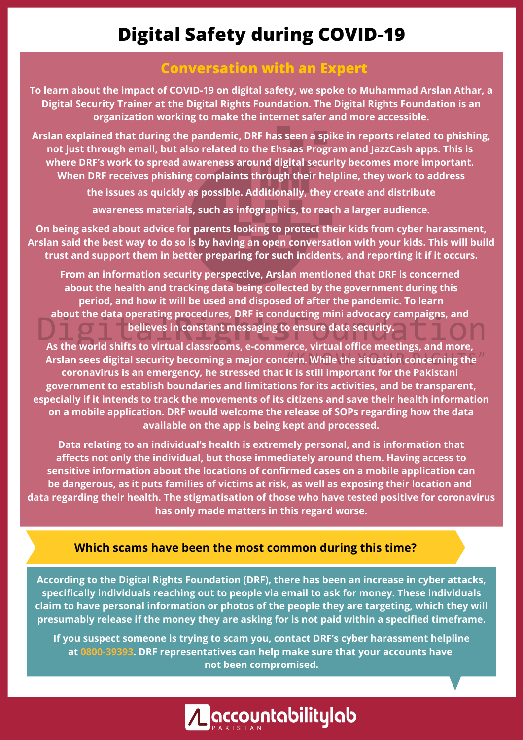### **Digital Safety during COVID-19**

#### **Conversation with an Expert**

**To learn about the impact of COVID-19 on digital safety, we spoke to Muhammad Arslan Athar, a Digital Security Trainer at the Digital Rights Foundation. The Digital Rights Foundation is an organization working to make the internet safer and more accessible.**

**Arslan explained that during the pandemic, DRF has seen a spike in reports related to phishing, not just through email, but also related to the Ehsaas Program and JazzCash apps. This is where DRF's work to spread awareness around digital security becomes more important. When DRF receives phishing complaints through their helpline, they work to address**

> **the issues as quickly as possible. Additionally, they create and distribute awareness materials, such as infographics, to reach a larger audience.**

**On being asked about advice for parents looking to protect their kids from cyber harassment,** Arslan said the best way to do so is by having an open conversation with your kids. This will build **trust and support them in better preparing for such incidents, and reporting it if it occurs.**

**From an information security perspective, Arslan mentioned that DRF is concerned about the health and tracking data being collected by the government during this period, and how it will be used and disposed of after the pandemic. To learn about the data operating procedures, DRF is conducting mini advocacy campaigns, and believes in constant messaging to ensure data security.**

**As the world shifts to virtual classrooms, e-commerce, virtual office meetings, and more, Arslan sees digital security becoming a major concern. While the situation concerning the coronavirus is an emergency, he stressed that it is still important for the Pakistani government to establish boundaries and limitations for its activities, and be transparent, especially if it intends to track the movements of its citizens and save their health information on a mobile application. DRF would welcome the release of SOPs regarding how the data available on the app is being kept and processed.**

**Data relating to an individual's health is extremely personal, and is information that affects not only the individual, but those immediately around them. Having access to sensitive information about the locations of confirmed cases on a mobile application can be dangerous, as it puts families of victims at risk, as well as exposing their location and data regarding their health. The stigmatisation of those who have tested positive for coronavirus has only made matters in this regard worse.**

#### **Which scams have been the most common during this time?**

**According to the Digital Rights Foundation (DRF), there has been an increase in cyber attacks, specifically individuals reaching out to people via email to ask for money. These individuals claim to have personal information or photos of the people they are targeting, which they will presumably release if the money they are asking for is not paid within a specified timeframe.**

**If you suspect someone is trying to scam you, contact DRF's cyber harassment helpline at 0800-39393. DRF representatives can help make sure that your accounts have not been compromised.**

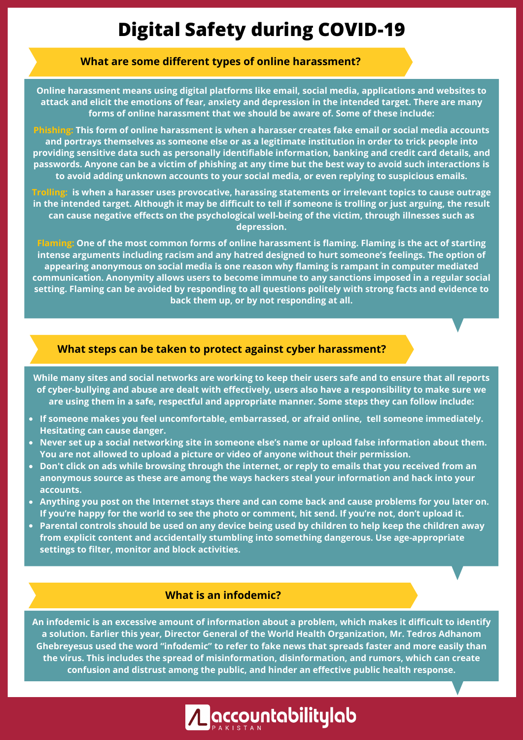### **Digital Safety during COVID-19**

#### **What are some different types of online harassment?**

**Online harassment means using digital platforms like email, social media, applications and websites to attack and elicit the emotions of fear, anxiety and depression in the intended target. There are many forms of online harassment that we should be aware of. Some of these include:**

**Phishing: This form of online harassment is when a harasser creates fake email or social media accounts and portrays themselves as someone else or as a legitimate institution in order to trick people into providing sensitive data such as personally identifiable information, banking and credit card details, and** passwords. Anyone can be a victim of phishing at any time but the best way to avoid such interactions is **to avoid adding unknown accounts to your social media, or even replying to suspicious emails.**

**Trolling: is when a harasser uses provocative, harassing statements or irrelevant topics to cause outrage** in the intended target. Although it may be difficult to tell if someone is trolling or just arguing, the result **can cause negative effects on the psychological well-being of the victim, through illnesses such as depression.**

Flaming: One of the most common forms of online harassment is flaming. Flaming is the act of starting **intense arguments including racism and any hatred designed to hurt someone's feelings. The option of appearing anonymous on social media is one reason why flaming is rampant in computer mediated communication. Anonymity allows users to become immune to any sanctions imposed in a regular social setting. Flaming can be avoided by responding to all questions politely with strong facts and evidence to back them up, or by not responding at all.**

#### **What steps can be taken to protect against cyber harassment?**

While many sites and social networks are working to keep their users safe and to ensure that all reports **of cyber-bullying and abuse are dealt with effectively, users also have a responsibility to make sure we are using them in a safe, respectful and appropriate manner. Some steps they can follow include:**

- **If someone makes you feel uncomfortable, embarrassed, or afraid online, tell someone immediately. Hesitating can cause danger.**
- **Never set up a social networking site in someone else's name or upload false information about them. You are not allowed to upload a picture or video of anyone without their permission.**
- Don't click on ads while browsing through the internet, or reply to emails that you received from an **anonymous source as these are among the ways hackers steal your information and hack into your accounts.**
- Anything you post on the Internet stays there and can come back and cause problems for you later on. If you're happy for the world to see the photo or comment, hit send. If you're not, don't upload it.
- Parental controls should be used on any device being used by children to help keep the children away **from explicit content and accidentally stumbling into something dangerous. Use age-appropriate settings to filter, monitor and block activities.**

#### **What is an infodemic?**

**An infodemic is an excessive amount of information about a problem, which makes it difficult to identify a solution. Earlier this year, Director General of the World Health Organization, Mr. Tedros Adhanom Ghebreyesus used the word "infodemic" to refer to fake news that spreads faster and more easily than the virus. This includes the spread of misinformation, disinformation, and rumors, which can create confusion and distrust among the public, and hinder an effective public health response.**

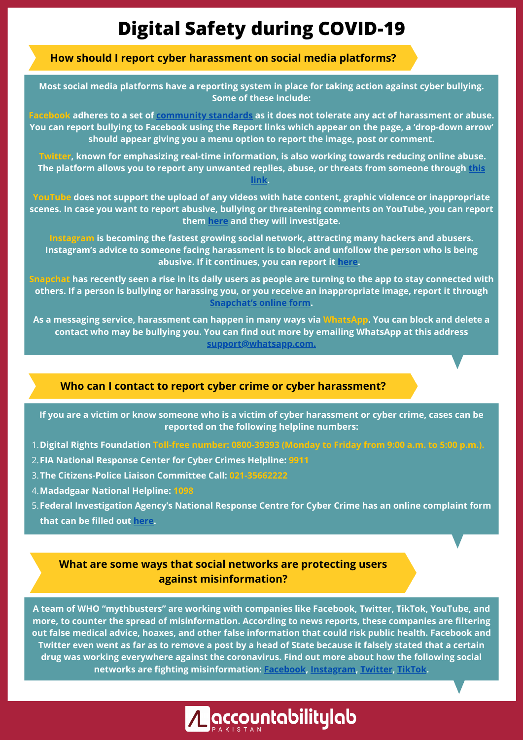### **Digital Safety during COVID-19**

#### **How should I report cyber harassment on social media platforms?**

**Most social media platforms have a reporting system in place for taking action against cyber bullying. Some of these include:**

Facebook adheres to a set of [community](https://www.facebook.com/communitystandards/) standards as it does not tolerate any act of harassment or abuse. You can report bullying to Facebook using the Report links which appear on the page, a 'drop-down arrow' **should appear giving you a menu option to report the image, post or comment.**

**Twitter, known for emphasizing real-time information, is also working towards reducing online abuse. The platform allows you to report any unwanted replies, abuse, or threats from [someone](https://help.twitter.com/forms/abusiveuser) through this link.**

**YouTube does not support the upload of any videos with hate content, graphic violence or inappropriate scenes. In case you want to report abusive, bullying or threatening comments on YouTube, you can report them [here](https://www.youtube.com/create_channel?next=http%3A%2F%2Fwww.youtube.com%2Freportabuse&upsell=default) and they will investigate.**

**Instagram is becoming the fastest growing social network, attracting many hackers and abusers. Instagram's advice to someone facing harassment is to block and unfollow the person who is being abusive. If it continues, you can report it [here.](https://help.instagram.com/165828726894770)**

Snapchat has recently seen a rise in its daily users as people are turning to the app to stay connected with others. If a person is bullying or harassing you, or you receive an inappropriate image, report it through **[Snapchat's](https://support.snapchat.com/en-US/i-need-help) online form.**

As a messaging service, harassment can happen in many ways via WhatsApp. You can block and delete a **contact who may be bullying you. You can find out more by emailing WhatsApp at this address support@whatsapp.com.**

#### **Who can I contact to report cyber crime or cyber harassment?**

If you are a victim or know someone who is a victim of cyber harassment or cyber crime, cases can be **reported on the following helpline numbers:**

- **Digital Rights Foundation Toll-free number: 0800-39393 (Monday to Friday from 9:00 a.m. to 5:00 p.m.).** 1.
- **FIA National Response Center for Cyber Crimes Helpline: 9911** 2.
- **The Citizens-Police Liaison Committee Call: 021-35662222** 3.
- **Madadgaar National Helpline: 1098** 4.
- **Federal Investigation Agency's National Response Centre for Cyber Crime has an online complaint form** 5. **that can be filled out [here](http://complaint.fia.gov.pk/).**

#### **What are some ways that social networks are protecting users against misinformation?**

**A team of WHO "mythbusters" are working with companies like Facebook, Twitter, TikTok, YouTube, and more, to counter the spread of misinformation. According to news reports, these companies are filtering out false medical advice, hoaxes, and other false information that could risk public health. Facebook and** Twitter even went as far as to remove a post by a head of State because it falsely stated that a certain **drug was working everywhere against the coronavirus. Find out more about how the following social networks are fighting misinformation: [Facebook](https://about.fb.com/news/2020/05/coronavirus/), [Instagram](https://about.instagram.com/blog/announcements/coronavirus-keeping-people-safe-informed-and-supported-on-instagram/), [Twitter](https://blog.twitter.com/en_us/topics/product/2020/updating-our-approach-to-misleading-information.html), [TikTok.](https://newsroom.tiktok.com/en-in/our-efforts-towards-fighting-misinformation-in-times-of-coronavirus)**

A accountabilitylab